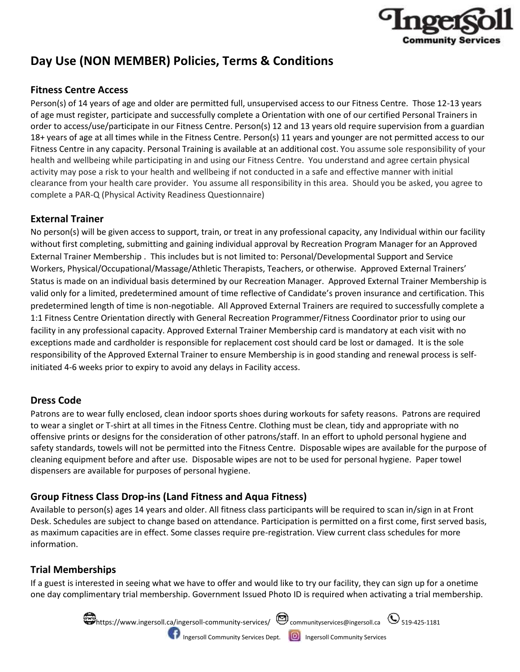

# **Day Use (NON MEMBER) Policies, Terms & Conditions**

# **Fitness Centre Access**

Person(s) of 14 years of age and older are permitted full, unsupervised access to our Fitness Centre. Those 12-13 years of age must register, participate and successfully complete a Orientation with one of our certified Personal Trainers in order to access/use/participate in our Fitness Centre. Person(s) 12 and 13 years old require supervision from a guardian 18+ years of age at all times while in the Fitness Centre. Person(s) 11 years and younger are not permitted access to our Fitness Centre in any capacity. Personal Training is available at an additional cost. You assume sole responsibility of your health and wellbeing while participating in and using our Fitness Centre. You understand and agree certain physical activity may pose a risk to your health and wellbeing if not conducted in a safe and effective manner with initial clearance from your health care provider. You assume all responsibility in this area. Should you be asked, you agree to complete a PAR-Q (Physical Activity Readiness Questionnaire)

# **External Trainer**

No person(s) will be given access to support, train, or treat in any professional capacity, any Individual within our facility without first completing, submitting and gaining individual approval by Recreation Program Manager for an Approved External Trainer Membership . This includes but is not limited to: Personal/Developmental Support and Service Workers, Physical/Occupational/Massage/Athletic Therapists, Teachers, or otherwise. Approved External Trainers' Status is made on an individual basis determined by our Recreation Manager. Approved External Trainer Membership is valid only for a limited, predetermined amount of time reflective of Candidate's proven insurance and certification. This predetermined length of time is non-negotiable. All Approved External Trainers are required to successfully complete a 1:1 Fitness Centre Orientation directly with General Recreation Programmer/Fitness Coordinator prior to using our facility in any professional capacity. Approved External Trainer Membership card is mandatory at each visit with no exceptions made and cardholder is responsible for replacement cost should card be lost or damaged. It is the sole responsibility of the Approved External Trainer to ensure Membership is in good standing and renewal process is selfinitiated 4-6 weeks prior to expiry to avoid any delays in Facility access.

# **Dress Code**

Patrons are to wear fully enclosed, clean indoor sports shoes during workouts for safety reasons. Patrons are required to wear a singlet or T-shirt at all times in the Fitness Centre. Clothing must be clean, tidy and appropriate with no offensive prints or designs for the consideration of other patrons/staff. In an effort to uphold personal hygiene and safety standards, towels will not be permitted into the Fitness Centre. Disposable wipes are available for the purpose of cleaning equipment before and after use. Disposable wipes are not to be used for personal hygiene. Paper towel dispensers are available for purposes of personal hygiene.

# **Group Fitness Class Drop-ins (Land Fitness and Aqua Fitness)**

Available to person(s) ages 14 years and older. All fitness class participants will be required to scan in/sign in at Front Desk. Schedules are subject to change based on attendance. Participation is permitted on a first come, first served basis, as maximum capacities are in effect. Some classes require pre-registration. View current class schedules for more information.

# **Trial Memberships**

If a guest is interested in seeing what we have to offer and would like to try our facility, they can sign up for a onetime one day complimentary trial membership. Government Issued Photo ID is required when activating a trial membership.

> $\blacksquare$ https://www.ingersoll.ca/ingersoll-community-services/ $\enspace$   $\enspace$  communityservices@ingersoll.ca  $\enspace$   $\enspace$  519-425-1181 **Ingersoll Community Services Dept. ID** Ingersoll Community Services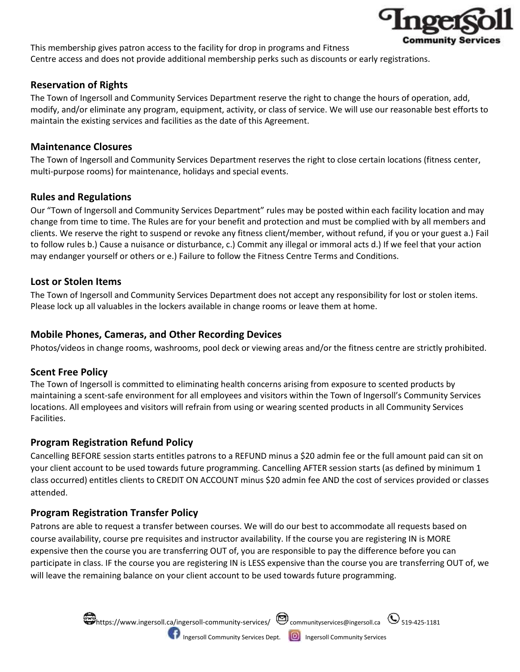

This membership gives patron access to the facility for drop in programs and Fitness Centre access and does not provide additional membership perks such as discounts or early registrations.

# **Reservation of Rights**

The Town of Ingersoll and Community Services Department reserve the right to change the hours of operation, add, modify, and/or eliminate any program, equipment, activity, or class of service. We will use our reasonable best efforts to maintain the existing services and facilities as the date of this Agreement.

## **Maintenance Closures**

The Town of Ingersoll and Community Services Department reserves the right to close certain locations (fitness center, multi-purpose rooms) for maintenance, holidays and special events.

#### **Rules and Regulations**

Our "Town of Ingersoll and Community Services Department" rules may be posted within each facility location and may change from time to time. The Rules are for your benefit and protection and must be complied with by all members and clients. We reserve the right to suspend or revoke any fitness client/member, without refund, if you or your guest a.) Fail to follow rules b.) Cause a nuisance or disturbance, c.) Commit any illegal or immoral acts d.) If we feel that your action may endanger yourself or others or e.) Failure to follow the Fitness Centre Terms and Conditions.

#### **Lost or Stolen Items**

The Town of Ingersoll and Community Services Department does not accept any responsibility for lost or stolen items. Please lock up all valuables in the lockers available in change rooms or leave them at home.

## **Mobile Phones, Cameras, and Other Recording Devices**

Photos/videos in change rooms, washrooms, pool deck or viewing areas and/or the fitness centre are strictly prohibited.

# **Scent Free Policy**

The Town of Ingersoll is committed to eliminating health concerns arising from exposure to scented products by maintaining a scent-safe environment for all employees and visitors within the Town of Ingersoll's Community Services locations. All employees and visitors will refrain from using or wearing scented products in all Community Services Facilities.

# **Program Registration Refund Policy**

Cancelling BEFORE session starts entitles patrons to a REFUND minus a \$20 admin fee or the full amount paid can sit on your client account to be used towards future programming. Cancelling AFTER session starts (as defined by minimum 1 class occurred) entitles clients to CREDIT ON ACCOUNT minus \$20 admin fee AND the cost of services provided or classes attended.

# **Program Registration Transfer Policy**

Patrons are able to request a transfer between courses. We will do our best to accommodate all requests based on course availability, course pre requisites and instructor availability. If the course you are registering IN is MORE expensive then the course you are transferring OUT of, you are responsible to pay the difference before you can participate in class. IF the course you are registering IN is LESS expensive than the course you are transferring OUT of, we will leave the remaining balance on your client account to be used towards future programming.